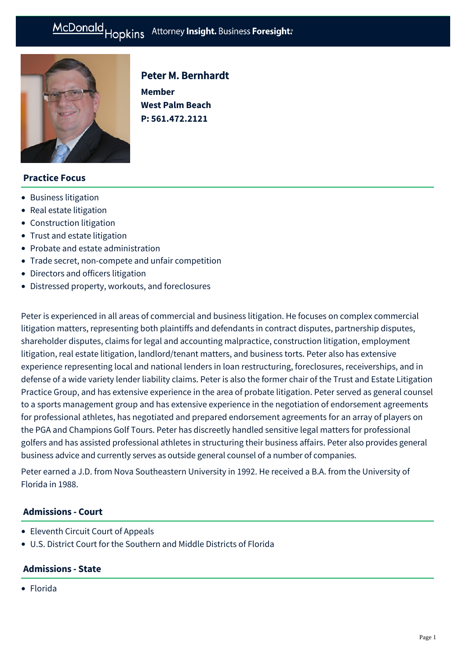# McDonald Hopkins Attorney Insight. Business Foresight:

**Member**

Peter M. Bernhardt

**West Palm Beach P: [561.472.2121](tel:561.472.2121)**



# **Practice Focus**

- [Business litigation](https://mcdonaldhopkins.com/Expertise/Litigation/Business-litigation)
- [Real estate litigation](https://mcdonaldhopkins.com/Expertise/Real-estate/Real-estate-litigation)
- [Construction litigation](https://mcdonaldhopkins.com/Expertise/Litigation/Construction-litigation)
- [Trust and estate litigation](https://mcdonaldhopkins.com/Expertise/Estate-planning-and-probate/Trust-and-estate-litigation)
- [Probate and estate administration](https://mcdonaldhopkins.com/Expertise/Estate-planning-and-probate/Probate-and-estate-administration)
- [Trade secret, non-compete and unfair competition](https://mcdonaldhopkins.com/Expertise/Litigation/Tradesecret-noncompete-unfair-competition)
- [Directors and officers litigation](https://mcdonaldhopkins.com/Expertise/Litigation/Directors-and-officers-litigation)
- [Distressed property, workouts, and foreclosures](https://mcdonaldhopkins.com/Expertise/Real-estate/Distressed-property-workouts-and-foreclosures)

Peter is experienced in all areas of commercial and business litigation. He focuses on complex commercial litigation matters, representing both plaintiffs and defendants in contract disputes, partnership disputes, shareholder disputes, claims for legal and accounting malpractice, construction litigation, employment litigation, real estate litigation, landlord/tenant matters, and business torts. Peter also has extensive experience representing local and national lenders in loan restructuring, foreclosures, receiverships, and in defense of a wide variety lender liability claims. Peter is also the former chair of the Trust and Estate Litigation Practice Group, and has extensive experience in the area of probate litigation. Peter served as general counsel to a sports management group and has extensive experience in the negotiation of endorsement agreements for professional athletes, has negotiated and prepared endorsement agreements for an array of players on the PGA and Champions Golf Tours. Peter has discreetly handled sensitive legal matters for professional golfers and has assisted professional athletes in structuring their business affairs. Peter also provides general business advice and currently serves as outside general counsel of a number of companies.

Peter earned a J.D. from Nova Southeastern University in 1992. He received a B.A. from the University of Florida in 1988.

# **Admissions - Court**

- Eleventh Circuit Court of Appeals
- U.S. District Court for the Southern and Middle Districts of Florida

# **Admissions - State**

Florida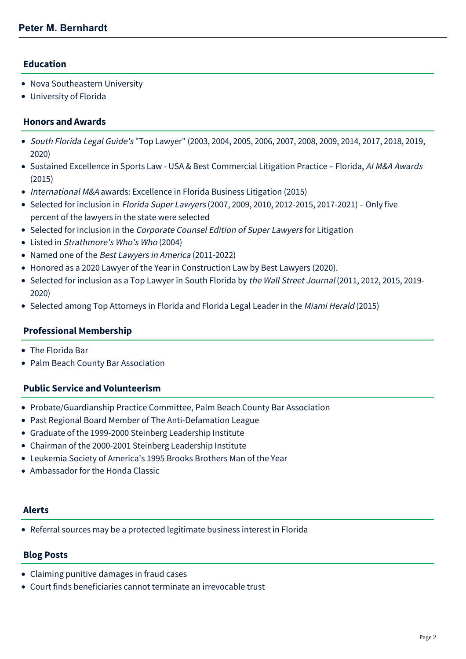# **Education**

- Nova Southeastern University
- University of Florida

#### **Honors and Awards**

- South Florida Legal Guide's "Top Lawyer" (2003, 2004, 2005, 2006, 2007, 2008, 2009, 2014, 2017, 2018, 2019, 2020)
- Sustained Excellence in Sports Law USA & Best Commercial Litigation Practice Florida, AI M&A Awards (2015)
- International M&A awards: Excellence in Florida Business Litigation (2015)
- Selected for inclusion in Florida Super Lawyers (2007, 2009, 2010, 2012-2015, 2017-2021) Only five percent of the lawyers in the state were selected
- Selected for inclusion in the Corporate Counsel Edition of Super Lawyers for Litigation
- Listed in Strathmore's Who's Who (2004)
- Named one of the Best Lawyers in America (2011-2022)
- Honored as a 2020 Lawyer of the Year in Construction Law by Best Lawyers (2020).
- Selected for inclusion as a Top Lawyer in South Florida by the Wall Street Journal (2011, 2012, 2015, 2019-2020)
- Selected among Top Attorneys in Florida and Florida Legal Leader in the Miami Herald (2015)

#### **Professional Membership**

- The Florida Bar
- Palm Beach County Bar Association

#### **Public Service and Volunteerism**

- Probate/Guardianship Practice Committee, Palm Beach County Bar Association
- Past Regional Board Member of The Anti-Defamation League
- Graduate of the 1999-2000 Steinberg Leadership Institute
- Chairman of the 2000-2001 Steinberg Leadership Institute
- Leukemia Society of America's 1995 Brooks Brothers Man of the Year
- Ambassador for the Honda Classic

#### **Alerts**

[Referral sources may be a protected legitimate business interest in Florida](https://mcdonaldhopkins.com/Insights/October-2017/Referral-sources-may-be-a-protected-legitimate-bus)

#### **Blog Posts**

- [Claiming punitive damages in fraud cases](https://mcdonaldhopkins.com/Insights/January-2019/Claiming-punitive-damages-in-fraud-cases-Floridas)
- [Court finds beneficiaries cannot terminate an irrevocable trust](https://mcdonaldhopkins.com/Insights/June-2018/Court-finds-beneficiaries-cannot-terminate-an-irre)